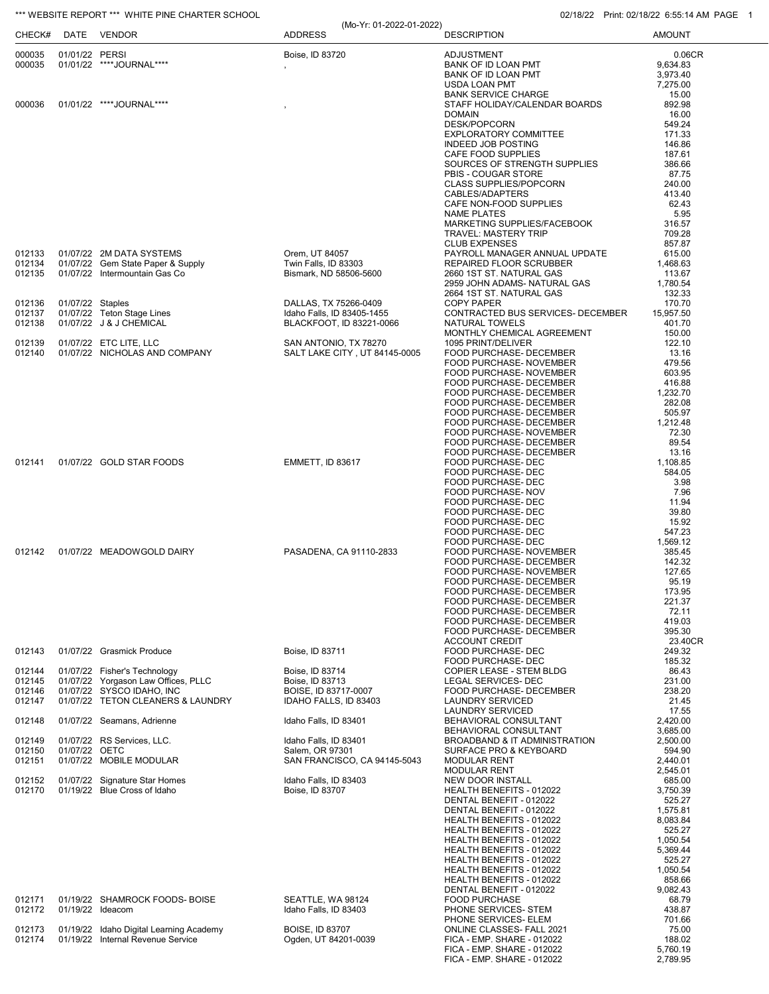## \*\*\* WEBSITE REPORT \*\*\* WHITE PINE CHARTER SCHOOL **CHARTER SCHOOL** 02/18/22 Print: 02/18/22 6:55:14 AM PAGE 1

| CHECK#           |                  | DATE VENDOR                                                                  | (Mo-Yr: 01-2022-01-2022)<br><b>ADDRESS</b>          | <b>DESCRIPTION</b>                                        | <b>AMOUNT</b>        |
|------------------|------------------|------------------------------------------------------------------------------|-----------------------------------------------------|-----------------------------------------------------------|----------------------|
| 000035           | 01/01/22 PERSI   |                                                                              | Boise, ID 83720                                     | ADJUSTMENT                                                | 0.06CR               |
| 000035           |                  | 01/01/22 ****JOURNAL****                                                     |                                                     | BANK OF ID LOAN PMT                                       | 9,634.83             |
|                  |                  |                                                                              |                                                     | BANK OF ID LOAN PMT<br>USDA LOAN PMT                      | 3,973.40<br>7,275.00 |
|                  |                  |                                                                              |                                                     | <b>BANK SERVICE CHARGE</b>                                | 15.00                |
| 000036           |                  | 01/01/22 ****JOURNAL****                                                     |                                                     | STAFF HOLIDAY/CALENDAR BOARDS                             | 892.98               |
|                  |                  |                                                                              |                                                     | <b>DOMAIN</b>                                             | 16.00                |
|                  |                  |                                                                              |                                                     | DESK/POPCORN                                              | 549.24               |
|                  |                  |                                                                              |                                                     | <b>EXPLORATORY COMMITTEE</b><br><b>INDEED JOB POSTING</b> | 171.33<br>146.86     |
|                  |                  |                                                                              |                                                     | CAFE FOOD SUPPLIES                                        | 187.61               |
|                  |                  |                                                                              |                                                     | SOURCES OF STRENGTH SUPPLIES                              | 386.66               |
|                  |                  |                                                                              |                                                     | PBIS - COUGAR STORE                                       | 87.75                |
|                  |                  |                                                                              |                                                     | <b>CLASS SUPPLIES/POPCORN</b>                             | 240.00               |
|                  |                  |                                                                              |                                                     | CABLES/ADAPTERS<br>CAFE NON-FOOD SUPPLIES                 | 413.40<br>62.43      |
|                  |                  |                                                                              |                                                     | <b>NAME PLATES</b>                                        | 5.95                 |
|                  |                  |                                                                              |                                                     | MARKETING SUPPLIES/FACEBOOK                               | 316.57               |
|                  |                  |                                                                              |                                                     | <b>TRAVEL: MASTERY TRIP</b>                               | 709.28               |
| 012133           |                  | 01/07/22 2M DATA SYSTEMS                                                     | Orem, UT 84057                                      | <b>CLUB EXPENSES</b><br>PAYROLL MANAGER ANNUAL UPDATE     | 857.87<br>615.00     |
| 012134           |                  | 01/07/22 Gem State Paper & Supply                                            | Twin Falls, ID 83303                                | REPAIRED FLOOR SCRUBBER                                   | 1,468.63             |
| 012135           |                  | 01/07/22 Intermountain Gas Co                                                | Bismark, ND 58506-5600                              | 2660 1ST ST. NATURAL GAS                                  | 113.67               |
|                  |                  |                                                                              |                                                     | 2959 JOHN ADAMS- NATURAL GAS                              | 1,780.54             |
|                  |                  |                                                                              |                                                     | 2664 1ST ST. NATURAL GAS                                  | 132.33               |
| 012136<br>012137 | 01/07/22 Staples | 01/07/22 Teton Stage Lines                                                   | DALLAS, TX 75266-0409<br>Idaho Falls, ID 83405-1455 | <b>COPY PAPER</b><br>CONTRACTED BUS SERVICES- DECEMBER    | 170.70<br>15,957.50  |
| 012138           |                  | 01/07/22 J & J CHEMICAL                                                      | BLACKFOOT, ID 83221-0066                            | NATURAL TOWELS                                            | 401.70               |
|                  |                  |                                                                              |                                                     | MONTHLY CHEMICAL AGREEMENT                                | 150.00               |
| 012139           |                  | 01/07/22 ETC LITE, LLC                                                       | SAN ANTONIO, TX 78270                               | 1095 PRINT/DELIVER                                        | 122.10               |
| 012140           |                  | 01/07/22 NICHOLAS AND COMPANY                                                | SALT LAKE CITY, UT 84145-0005                       | FOOD PURCHASE- DECEMBER<br>FOOD PURCHASE- NOVEMBER        | 13.16<br>479.56      |
|                  |                  |                                                                              |                                                     | FOOD PURCHASE- NOVEMBER                                   | 603.95               |
|                  |                  |                                                                              |                                                     | FOOD PURCHASE- DECEMBER                                   | 416.88               |
|                  |                  |                                                                              |                                                     | FOOD PURCHASE- DECEMBER                                   | 1,232.70             |
|                  |                  |                                                                              |                                                     | FOOD PURCHASE- DECEMBER                                   | 282.08               |
|                  |                  |                                                                              |                                                     | FOOD PURCHASE- DECEMBER<br>FOOD PURCHASE- DECEMBER        | 505.97<br>1,212.48   |
|                  |                  |                                                                              |                                                     | FOOD PURCHASE- NOVEMBER                                   | 72.30                |
|                  |                  |                                                                              |                                                     | FOOD PURCHASE- DECEMBER                                   | 89.54                |
|                  |                  |                                                                              |                                                     | FOOD PURCHASE- DECEMBER                                   | 13.16                |
| 012141           |                  | 01/07/22 GOLD STAR FOODS                                                     | EMMETT, ID 83617                                    | FOOD PURCHASE- DEC                                        | 1,108.85             |
|                  |                  |                                                                              |                                                     | FOOD PURCHASE- DEC<br>FOOD PURCHASE- DEC                  | 584.05<br>3.98       |
|                  |                  |                                                                              |                                                     | FOOD PURCHASE- NOV                                        | 7.96                 |
|                  |                  |                                                                              |                                                     | FOOD PURCHASE- DEC                                        | 11.94                |
|                  |                  |                                                                              |                                                     | FOOD PURCHASE- DEC                                        | 39.80                |
|                  |                  |                                                                              |                                                     | FOOD PURCHASE- DEC<br>FOOD PURCHASE- DEC                  | 15.92                |
|                  |                  |                                                                              |                                                     | FOOD PURCHASE- DEC                                        | 547.23<br>1,569.12   |
| 012142           |                  | 01/07/22 MEADOWGOLD DAIRY                                                    | PASADENA, CA 91110-2833                             | FOOD PURCHASE- NOVEMBER                                   | 385.45               |
|                  |                  |                                                                              |                                                     | FOOD PURCHASE- DECEMBER                                   | 142.32               |
|                  |                  |                                                                              |                                                     | FOOD PURCHASE- NOVEMBER                                   | 127.65               |
|                  |                  |                                                                              |                                                     | FOOD PURCHASE- DECEMBER<br>FOOD PURCHASE- DECEMBER        | 95.19<br>173.95      |
|                  |                  |                                                                              |                                                     | FOOD PURCHASE- DECEMBER                                   | 221.37               |
|                  |                  |                                                                              |                                                     | FOOD PURCHASE- DECEMBER                                   | 72.11                |
|                  |                  |                                                                              |                                                     | FOOD PURCHASE- DECEMBER                                   | 419.03               |
|                  |                  |                                                                              |                                                     | FOOD PURCHASE- DECEMBER                                   | 395.30               |
| 012143           |                  | 01/07/22 Grasmick Produce                                                    | Boise, ID 83711                                     | <b>ACCOUNT CREDIT</b><br>FOOD PURCHASE- DEC               | 23.40CR<br>249.32    |
|                  |                  |                                                                              |                                                     | FOOD PURCHASE- DEC                                        | 185.32               |
| 012144           |                  | 01/07/22 Fisher's Technology                                                 | Boise, ID 83714                                     | COPIER LEASE - STEM BLDG                                  | 86.43                |
| 012145           |                  | 01/07/22 Yorgason Law Offices, PLLC                                          | Boise, ID 83713                                     | LEGAL SERVICES- DEC                                       | 231.00               |
| 012146<br>012147 |                  | 01/07/22 SYSCO IDAHO, INC<br>01/07/22 TETON CLEANERS & LAUNDRY               | BOISE, ID 83717-0007<br>IDAHO FALLS, ID 83403       | FOOD PURCHASE- DECEMBER<br><b>LAUNDRY SERVICED</b>        | 238.20<br>21.45      |
|                  |                  |                                                                              |                                                     | <b>LAUNDRY SERVICED</b>                                   | 17.55                |
| 012148           |                  | 01/07/22 Seamans, Adrienne                                                   | Idaho Falls, ID 83401                               | BEHAVIORAL CONSULTANT                                     | 2,420.00             |
|                  |                  |                                                                              |                                                     | BEHAVIORAL CONSULTANT                                     | 3,685.00             |
| 012149           |                  | 01/07/22 RS Services, LLC.                                                   | Idaho Falls, ID 83401                               | BROADBAND & IT ADMINISTRATION                             | 2,500.00             |
| 012150<br>012151 | 01/07/22 OETC    | 01/07/22 MOBILE MODULAR                                                      | Salem, OR 97301<br>SAN FRANCISCO, CA 94145-5043     | SURFACE PRO & KEYBOARD<br><b>MODULAR RENT</b>             | 594.90<br>2,440.01   |
|                  |                  |                                                                              |                                                     | <b>MODULAR RENT</b>                                       | 2,545.01             |
| 012152           |                  | 01/07/22 Signature Star Homes                                                | Idaho Falls, ID 83403                               | NEW DOOR INSTALL                                          | 685.00               |
| 012170           |                  | 01/19/22 Blue Cross of Idaho                                                 | Boise, ID 83707                                     | HEALTH BENEFITS - 012022                                  | 3,750.39             |
|                  |                  |                                                                              |                                                     | DENTAL BENEFIT - 012022                                   | 525.27               |
|                  |                  |                                                                              |                                                     | DENTAL BENEFIT - 012022<br>HEALTH BENEFITS - 012022       | 1,575.81<br>8,083.84 |
|                  |                  |                                                                              |                                                     | HEALTH BENEFITS - 012022                                  | 525.27               |
|                  |                  |                                                                              |                                                     | HEALTH BENEFITS - 012022                                  | 1,050.54             |
|                  |                  |                                                                              |                                                     | HEALTH BENEFITS - 012022                                  | 5,369.44             |
|                  |                  |                                                                              |                                                     | HEALTH BENEFITS - 012022                                  | 525.27               |
|                  |                  |                                                                              |                                                     | HEALTH BENEFITS - 012022<br>HEALTH BENEFITS - 012022      | 1,050.54<br>858.66   |
|                  |                  |                                                                              |                                                     | DENTAL BENEFIT - 012022                                   | 9,082.43             |
| 012171           |                  | 01/19/22 SHAMROCK FOODS- BOISE                                               | SEATTLE, WA 98124                                   | <b>FOOD PURCHASE</b>                                      | 68.79                |
| 012172           |                  | 01/19/22 Ideacom                                                             | Idaho Falls, ID 83403                               | PHONE SERVICES- STEM                                      | 438.87               |
|                  |                  |                                                                              |                                                     | PHONE SERVICES- ELEM                                      | 701.66               |
| 012173<br>012174 |                  | 01/19/22 Idaho Digital Learning Academy<br>01/19/22 Internal Revenue Service | <b>BOISE, ID 83707</b><br>Ogden, UT 84201-0039      | ONLINE CLASSES- FALL 2021<br>FICA - EMP. SHARE - 012022   | 75.00<br>188.02      |
|                  |                  |                                                                              |                                                     | FICA - EMP. SHARE - 012022                                | 5,760.19             |
|                  |                  |                                                                              |                                                     | FICA - EMP. SHARE - 012022                                | 2,789.95             |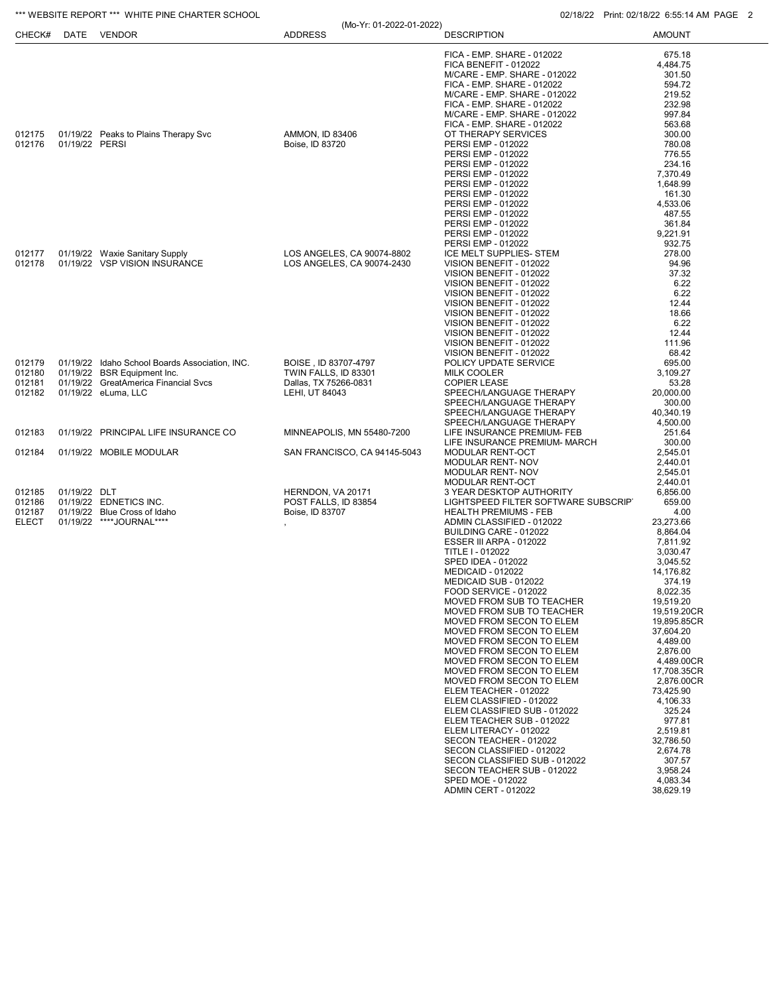|                        |                | *** WEBSITE REPORT *** WHITE PINE CHARTER SCHOOL                |                              |                                                           |                                                            | 02/18/22 Print: 02/18/22 6:55:14 AM PAGE 2 |
|------------------------|----------------|-----------------------------------------------------------------|------------------------------|-----------------------------------------------------------|------------------------------------------------------------|--------------------------------------------|
| CHECK#                 |                | DATE VENDOR                                                     | <b>ADDRESS</b>               | (Mo-Yr: 01-2022-01-2022)                                  | <b>DESCRIPTION</b>                                         | <b>AMOUNT</b>                              |
|                        |                |                                                                 |                              |                                                           | FICA - EMP. SHARE - 012022                                 | 675.18                                     |
|                        |                |                                                                 |                              |                                                           | FICA BENEFIT - 012022                                      | 4,484.75                                   |
|                        |                |                                                                 |                              |                                                           | M/CARE - EMP. SHARE - 012022                               | 301.50                                     |
|                        |                |                                                                 |                              |                                                           | FICA - EMP. SHARE - 012022<br>M/CARE - EMP. SHARE - 012022 | 594.72<br>219.52                           |
|                        |                |                                                                 |                              |                                                           | FICA - EMP. SHARE - 012022                                 | 232.98                                     |
|                        |                |                                                                 |                              |                                                           | M/CARE - EMP. SHARE - 012022                               | 997.84                                     |
|                        |                |                                                                 |                              |                                                           | FICA - EMP. SHARE - 012022                                 | 563.68                                     |
| 012175                 |                | 01/19/22 Peaks to Plains Therapy Svc                            | <b>AMMON, ID 83406</b>       |                                                           | OT THERAPY SERVICES                                        | 300.00                                     |
| 012176                 | 01/19/22 PERSI |                                                                 | Boise, ID 83720              |                                                           | PERSI EMP - 012022<br>PERSI EMP - 012022                   | 780.08<br>776.55                           |
|                        |                |                                                                 |                              |                                                           | PERSI EMP - 012022                                         | 234.16                                     |
|                        |                |                                                                 |                              | PERSI EMP - 012022                                        | 7,370.49                                                   |                                            |
|                        |                |                                                                 |                              | PERSI EMP - 012022                                        | 1,648.99                                                   |                                            |
|                        |                |                                                                 |                              | PERSI EMP - 012022<br>PERSI EMP - 012022                  | 161.30<br>4,533.06                                         |                                            |
|                        |                |                                                                 |                              | PERSI EMP - 012022                                        | 487.55                                                     |                                            |
|                        |                |                                                                 |                              | PERSI EMP - 012022                                        | 361.84                                                     |                                            |
|                        |                |                                                                 |                              | PERSI EMP - 012022                                        | 9,221.91                                                   |                                            |
|                        |                |                                                                 |                              |                                                           | PERSI EMP - 012022                                         | 932.75                                     |
| 012177<br>012178       |                | 01/19/22 Waxie Sanitary Supply<br>01/19/22 VSP VISION INSURANCE |                              | LOS ANGELES, CA 90074-8802                                | ICE MELT SUPPLIES- STEM<br>VISION BENEFIT - 012022         | 278.00<br>94.96                            |
|                        |                |                                                                 | LOS ANGELES, CA 90074-2430   | VISION BENEFIT - 012022                                   | 37.32                                                      |                                            |
|                        |                |                                                                 |                              | VISION BENEFIT - 012022                                   | 6.22                                                       |                                            |
|                        |                |                                                                 |                              | VISION BENEFIT - 012022                                   | 6.22                                                       |                                            |
|                        |                |                                                                 |                              | VISION BENEFIT - 012022<br>VISION BENEFIT - 012022        | 12.44                                                      |                                            |
|                        |                |                                                                 |                              | VISION BENEFIT - 012022                                   | 18.66<br>6.22                                              |                                            |
|                        |                |                                                                 |                              |                                                           | VISION BENEFIT - 012022                                    | 12.44                                      |
|                        |                |                                                                 |                              |                                                           | VISION BENEFIT - 012022                                    | 111.96                                     |
|                        |                | 01/19/22 Idaho School Boards Association, INC.                  | BOISE, ID 83707-4797         |                                                           | VISION BENEFIT - 012022<br>POLICY UPDATE SERVICE           | 68.42<br>695.00                            |
| 012179<br>012180       |                | 01/19/22 BSR Equipment Inc.                                     | TWIN FALLS, ID 83301         |                                                           | <b>MILK COOLER</b>                                         | 3,109.27                                   |
| 012181                 |                | 01/19/22 GreatAmerica Financial Svcs                            | Dallas, TX 75266-0831        |                                                           | <b>COPIER LEASE</b>                                        | 53.28                                      |
| 012182                 |                | 01/19/22 eLuma, LLC                                             | LEHI, UT 84043               | SPEECH/LANGUAGE THERAPY                                   | 20,000.00                                                  |                                            |
|                        |                |                                                                 |                              | SPEECH/LANGUAGE THERAPY                                   | 300.00                                                     |                                            |
|                        |                |                                                                 |                              | SPEECH/LANGUAGE THERAPY<br>SPEECH/LANGUAGE THERAPY        | 40,340.19<br>4,500.00                                      |                                            |
| 012183                 |                | 01/19/22 PRINCIPAL LIFE INSURANCE CO                            |                              | MINNEAPOLIS, MN 55480-7200                                | LIFE INSURANCE PREMIUM- FEB                                | 251.64                                     |
|                        |                |                                                                 |                              |                                                           | LIFE INSURANCE PREMIUM- MARCH                              | 300.00                                     |
| 012184                 |                | 01/19/22 MOBILE MODULAR                                         | SAN FRANCISCO, CA 94145-5043 | MODULAR RENT-OCT                                          | 2,545.01                                                   |                                            |
|                        |                |                                                                 |                              | MODULAR RENT- NOV<br>MODULAR RENT- NOV                    | 2,440.01<br>2,545.01                                       |                                            |
|                        |                |                                                                 |                              | MODULAR RENT-OCT                                          | 2,440.01                                                   |                                            |
| 012185                 | 01/19/22 DLT   |                                                                 | HERNDON, VA 20171            |                                                           | 3 YEAR DESKTOP AUTHORITY                                   | 6,856.00                                   |
| 012186                 |                | 01/19/22 EDNETICS INC.                                          | POST FALLS. ID 83854         |                                                           | LIGHTSPEED FILTER SOFTWARE SUBSCRIP                        | 659.00                                     |
| 012187<br><b>ELECT</b> |                | 01/19/22 Blue Cross of Idaho<br>01/19/22 ****JOURNAL****        | Boise, ID 83707              | <b>HEALTH PREMIUMS - FEB</b><br>ADMIN CLASSIFIED - 012022 | 4.00<br>23,273.66                                          |                                            |
|                        |                |                                                                 |                              | BUILDING CARE - 012022                                    | 8,864.04                                                   |                                            |
|                        |                |                                                                 |                              | ESSER III ARPA - 012022                                   | 7,811.92                                                   |                                            |
|                        |                |                                                                 |                              | TITLE I - 012022                                          | 3,030.47                                                   |                                            |
|                        |                |                                                                 |                              |                                                           | SPED IDEA - 012022<br>MEDICAID - 012022                    | 3,045.52<br>14,176.82                      |
|                        |                |                                                                 |                              |                                                           | MEDICAID SUB - 012022                                      | 374.19                                     |
|                        |                |                                                                 |                              |                                                           | FOOD SERVICE - 012022                                      | 8,022.35                                   |
|                        |                |                                                                 |                              |                                                           | MOVED FROM SUB TO TEACHER                                  | 19,519.20                                  |
|                        |                |                                                                 |                              |                                                           | MOVED FROM SUB TO TEACHER<br>MOVED FROM SECON TO ELEM      | 19,519.20CR<br>19,895.85CR                 |
|                        |                |                                                                 |                              |                                                           | MOVED FROM SECON TO ELEM                                   | 37,604.20                                  |
|                        |                |                                                                 |                              |                                                           | MOVED FROM SECON TO ELEM                                   | 4,489.00                                   |
|                        |                |                                                                 |                              |                                                           | MOVED FROM SECON TO ELEM                                   | 2,876.00                                   |
|                        |                |                                                                 |                              |                                                           | MOVED FROM SECON TO ELEM                                   | 4,489.00CR                                 |
|                        |                |                                                                 |                              |                                                           | MOVED FROM SECON TO ELEM<br>MOVED FROM SECON TO ELEM       | 17,708.35CR<br>2,876.00CR                  |
|                        |                |                                                                 |                              |                                                           | ELEM TEACHER - 012022                                      | 73.425.90                                  |
|                        |                |                                                                 |                              |                                                           | ELEM CLASSIFIED - 012022                                   | 4,106.33                                   |
|                        |                |                                                                 |                              |                                                           | ELEM CLASSIFIED SUB - 012022                               | 325.24                                     |
|                        |                |                                                                 |                              |                                                           | ELEM TEACHER SUB - 012022<br>ELEM LITERACY - 012022        | 977.81<br>2,519.81                         |
|                        |                |                                                                 |                              |                                                           | SECON TEACHER - 012022                                     | 32,786.50                                  |
|                        |                |                                                                 |                              |                                                           | SECON CLASSIFIED - 012022                                  | 2,674.78                                   |
|                        |                |                                                                 |                              |                                                           | SECON CLASSIFIED SUB - 012022                              | 307.57                                     |
|                        |                |                                                                 |                              |                                                           | SECON TEACHER SUB - 012022<br>SPED MOE - 012022            | 3,958.24<br>4,083.34                       |
|                        |                |                                                                 |                              |                                                           | ADMIN CERT - 012022                                        | 38,629.19                                  |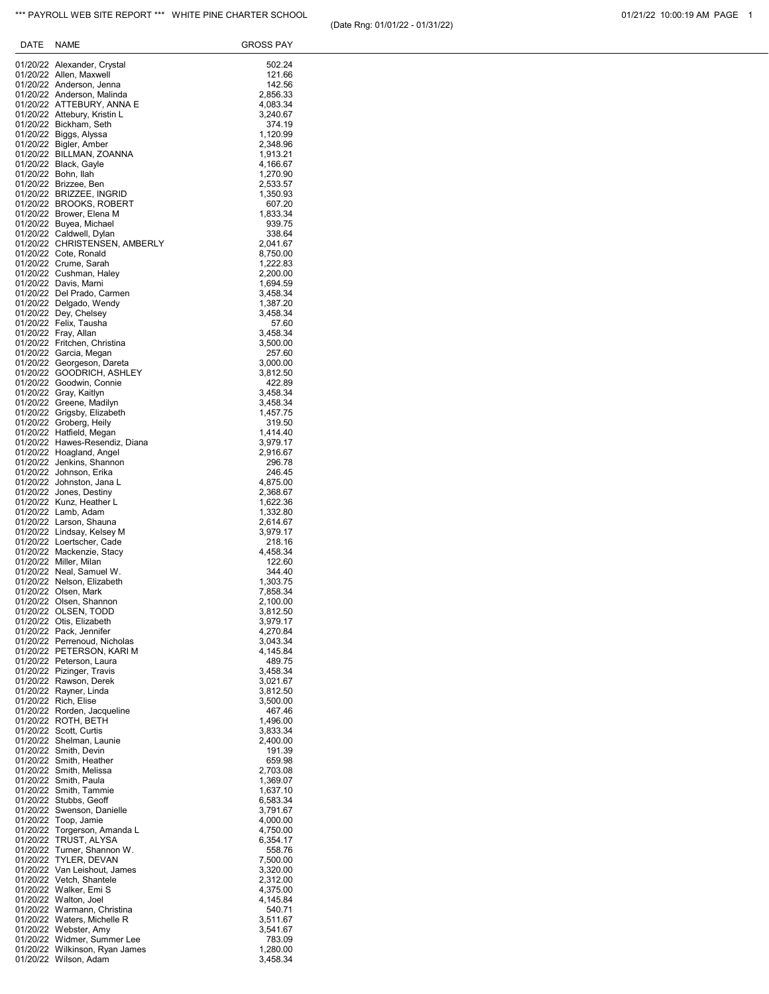| DATE | NAME                                                       | GROSS PAY            |
|------|------------------------------------------------------------|----------------------|
|      | 01/20/22 Alexander, Crystal                                | 502.24               |
|      | 01/20/22 Allen, Maxwell                                    | 121.66               |
|      | 01/20/22 Anderson, Jenna<br>01/20/22 Anderson, Malinda     | 142.56<br>2,856.33   |
|      | 01/20/22 ATTEBURY, ANNA E                                  | 4,083.34             |
|      | 01/20/22 Attebury, Kristin L                               | 3,240.67             |
|      | 01/20/22 Bickham, Seth<br>01/20/22 Biggs, Alyssa           | 374.19<br>1,120.99   |
|      | 01/20/22 Bigler, Amber                                     | 2,348.96             |
|      | 01/20/22 BILLMAN, ZOANNA<br>01/20/22 Black, Gayle          | 1,913.21<br>4,166.67 |
|      | 01/20/22 Bohn, Ilah                                        | 1,270.90             |
|      | 01/20/22 Brizzee, Ben                                      | 2,533.57             |
|      | 01/20/22 BRIZZEE, INGRID<br>01/20/22 BROOKS, ROBERT        | 1,350.93<br>607.20   |
|      | 01/20/22 Brower, Elena M                                   | 1,833.34             |
|      | 01/20/22 Buyea, Michael<br>01/20/22 Caldwell, Dylan        | 939.75<br>338.64     |
|      | 01/20/22 CHRISTENSEN, AMBERLY                              | 2,041.67             |
|      | 01/20/22 Cote, Ronald                                      | 8,750.00             |
|      | 01/20/22 Crume, Sarah<br>01/20/22 Cushman, Haley           | 1,222.83<br>2,200.00 |
|      | 01/20/22 Davis, Marni                                      | 1,694.59             |
|      | 01/20/22 Del Prado, Carmen<br>01/20/22 Delgado, Wendy      | 3,458.34<br>1,387.20 |
|      | 01/20/22 Dey, Chelsey                                      | 3,458.34             |
|      | 01/20/22 Felix, Tausha<br>01/20/22 Fray, Allan             | 57.60<br>3,458.34    |
|      | 01/20/22 Fritchen, Christina                               | 3,500.00             |
|      | 01/20/22 Garcia, Megan                                     | 257.60               |
|      | 01/20/22 Georgeson, Dareta<br>01/20/22 GOODRICH, ASHLEY    | 3,000.00<br>3,812.50 |
|      | 01/20/22 Goodwin, Connie                                   | 422.89               |
|      | 01/20/22 Gray, Kaitlyn<br>01/20/22 Greene, Madilyn         | 3.458.34             |
|      | 01/20/22 Grigsby, Elizabeth                                | 3,458.34<br>1,457.75 |
|      | 01/20/22 Groberg, Heily                                    | 319.50               |
|      | 01/20/22 Hatfield, Megan<br>01/20/22 Hawes-Resendiz, Diana | 1,414.40<br>3,979.17 |
|      | 01/20/22 Hoagland, Angel                                   | 2,916.67             |
|      | 01/20/22 Jenkins, Shannon<br>01/20/22 Johnson, Erika       | 296.78               |
|      | 01/20/22 Johnston, Jana L                                  | 246.45<br>4,875.00   |
|      | 01/20/22 Jones, Destiny                                    | 2,368.67             |
|      | 01/20/22 Kunz, Heather L<br>01/20/22 Lamb, Adam            | 1,622.36<br>1,332.80 |
|      | 01/20/22 Larson, Shauna                                    | 2,614.67             |
|      | 01/20/22 Lindsay, Kelsey M<br>01/20/22 Loertscher, Cade    | 3,979.17<br>218.16   |
|      | 01/20/22 Mackenzie, Stacy                                  | 4,458.34             |
|      | 01/20/22 Miller, Milan                                     | 122.60               |
|      | 01/20/22 Neal, Samuel W.<br>01/20/22 Nelson, Elizabeth     | 344.40<br>1,303.75   |
|      | 01/20/22 Olsen, Mark                                       | 7,858.34             |
|      | 01/20/22 Olsen, Shannon<br>01/20/22 OLSEN, TODD            | 2,100.00<br>3,812.50 |
|      | 01/20/22 Otis, Elizabeth                                   | 3,979.17             |
|      | 01/20/22 Pack, Jennifer                                    | 4,270.84             |
|      | 01/20/22 Perrenoud, Nicholas<br>01/20/22 PETERSON, KARI M  | 3,043.34<br>4,145.84 |
|      | 01/20/22 Peterson, Laura                                   | 489.75               |
|      | 01/20/22 Pizinger, Travis<br>01/20/22 Rawson, Derek        | 3,458.34<br>3,021.67 |
|      | 01/20/22 Rayner, Linda                                     | 3,812.50             |
|      | 01/20/22 Rich, Elise<br>01/20/22 Rorden, Jacqueline        | 3,500.00<br>467.46   |
|      | 01/20/22 ROTH, BETH                                        | 1,496.00             |
|      | 01/20/22 Scott, Curtis                                     | 3,833.34             |
|      | 01/20/22 Shelman, Launie<br>01/20/22 Smith, Devin          | 2,400.00<br>191.39   |
|      | 01/20/22 Smith, Heather                                    | 659.98               |
|      | 01/20/22 Smith, Melissa                                    | 2,703.08<br>1,369.07 |
|      | 01/20/22 Smith, Paula<br>01/20/22 Smith, Tammie            | 1,637.10             |
|      | 01/20/22 Stubbs, Geoff                                     | 6,583.34             |
|      | 01/20/22 Swenson, Danielle<br>01/20/22 Toop, Jamie         | 3,791.67<br>4,000.00 |
|      | 01/20/22 Torgerson, Amanda L                               | 4,750.00             |
|      | 01/20/22 TRUST, ALYSA<br>01/20/22 Turner, Shannon W.       | 6,354.17             |
|      | 01/20/22 TYLER, DEVAN                                      | 558.76<br>7,500.00   |
|      | 01/20/22 Van Leishout, James                               | 3,320.00             |
|      | 01/20/22 Vetch, Shantele<br>01/20/22 Walker, Emi S         | 2,312.00<br>4,375.00 |
|      | 01/20/22 Walton, Joel                                      | 4,145.84             |
|      | 01/20/22 Warmann, Christina                                | 540.71               |
|      | 01/20/22 Waters, Michelle R<br>01/20/22 Webster, Amy       | 3,511.67<br>3,541.67 |
|      | 01/20/22 Widmer, Summer Lee                                | 783.09               |
|      | 01/20/22 Wilkinson, Ryan James<br>01/20/22 Wilson, Adam    | 1,280.00<br>3,458.34 |
|      |                                                            |                      |